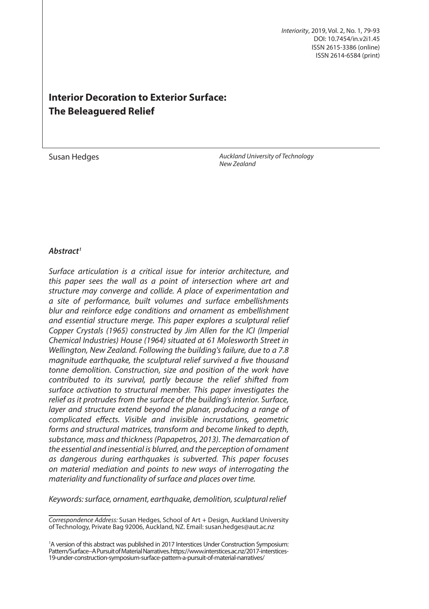*Interiority*, 2019, Vol. 2, No. 1, 79-93 DOI: 10.7454/in.v2i1.45 ISSN 2615-3386 (online) ISSN 2614-6584 (print)

# **Interior Decoration to Exterior Surface: The Beleaguered Relief**

*Auckland University of Technology* **Susan Hedges** and Susan Hedges and *New Zealand Uni* 

## *Abstract1*

*Surface articulation is a critical issue for interior architecture, and this paper sees the wall as a point of intersection where art and structure may converge and collide. A place of experimentation and a site of performance, built volumes and surface embellishments blur and reinforce edge conditions and ornament as embellishment and essential structure merge. This paper explores a sculptural relief Copper Crystals (1965) constructed by Jim Allen for the ICI (Imperial Chemical Industries) House (1964) situated at 61 Molesworth Street in Wellington, New Zealand. Following the building's failure, due to a 7.8 magnitude earthquake, the sculptural relief survived a five thousand tonne demolition. Construction, size and position of the work have contributed to its survival, partly because the relief shifted from surface activation to structural member. This paper investigates the relief as it protrudes from the surface of the building's interior. Surface, layer and structure extend beyond the planar, producing a range of complicated effects. Visible and invisible incrustations, geometric forms and structural matrices, transform and become linked to depth, substance, mass and thickness (Papapetros, 2013). The demarcation of the essential and inessential is blurred, and the perception of ornament as dangerous during earthquakes is subverted. This paper focuses on material mediation and points to new ways of interrogating the materiality and functionality of surface and places over time.*

*Keywords: surface, ornament, earthquake, demolition, sculptural relief*<sup>1</sup>

*Correspondence Address:* Susan Hedges, School of Art + Design, Auckland University of Technology, Private Bag 92006, Auckland, NZ. Email: susan.hedges@aut.ac.nz

<sup>&</sup>lt;sup>1</sup>A version of this abstract was published in 2017 Interstices Under Construction Symposium: Pattern/Surface–A Pursuit of Material Narratives. https://www.interstices.ac.nz/2017-interstices-19-under-construction-symposium-surface-pattern-a-pursuit-of-material-narratives/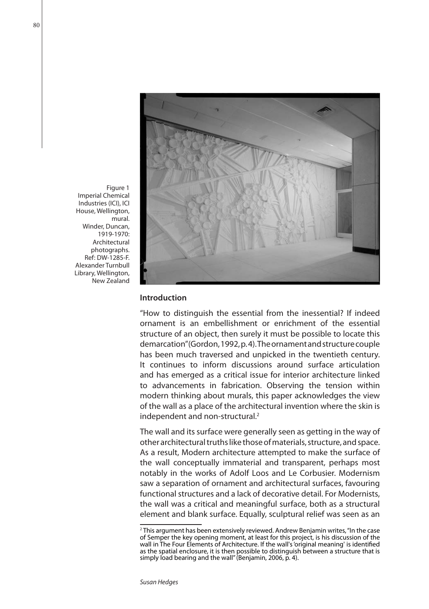

Figure 1 Imperial Chemical Industries (ICI), ICI House, Wellington, mural. Winder, Duncan, 1919-1970: Architectural photographs. Ref: DW-1285-F. Alexander Turnbull Library, Wellington, New Zealand

# **Introduction**

"How to distinguish the essential from the inessential? If indeed ornament is an embellishment or enrichment of the essential structure of an object, then surely it must be possible to locate this demarcation" (Gordon, 1992, p. 4). The ornament and structure couple has been much traversed and unpicked in the twentieth century. It continues to inform discussions around surface articulation and has emerged as a critical issue for interior architecture linked to advancements in fabrication. Observing the tension within modern thinking about murals, this paper acknowledges the view of the wall as a place of the architectural invention where the skin is independent and non-structural.<sup>2</sup>

The wall and its surface were generally seen as getting in the way of other architectural truths like those of materials, structure, and space. As a result, Modern architecture attempted to make the surface of the wall conceptually immaterial and transparent, perhaps most notably in the works of Adolf Loos and Le Corbusier. Modernism saw a separation of ornament and architectural surfaces, favouring functional structures and a lack of decorative detail. For Modernists, the wall was a critical and meaningful surface, both as a structural element and blank surface. Equally, sculptural relief was seen as an

<sup>&</sup>lt;sup>2</sup> This argument has been extensively reviewed. Andrew Benjamin writes, "In the case of Semper the key opening moment, at least for this project, is his discussion of the wall in The Four Elements of Architecture. If the wall's 'original meaning' is identified as the spatial enclosure, it is then possible to distinguish between a structure that is simply load bearing and the wall" (Benjamin, 2006, p. 4).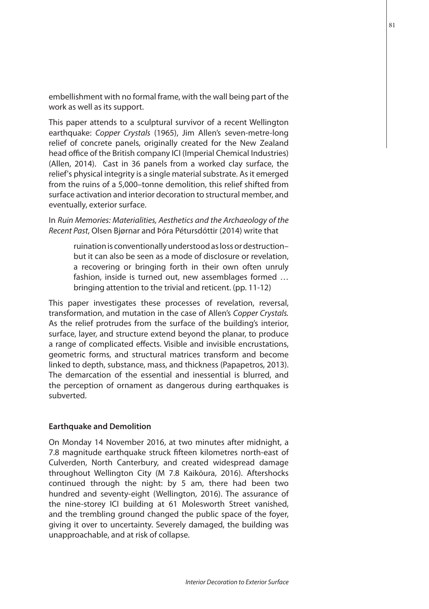embellishment with no formal frame, with the wall being part of the work as well as its support.

This paper attends to a sculptural survivor of a recent Wellington earthquake: *Copper Crystals* (1965), Jim Allen's seven-metre-long relief of concrete panels, originally created for the New Zealand head office of the British company ICI (Imperial Chemical Industries) (Allen, 2014). Cast in 36 panels from a worked clay surface, the relief's physical integrity is a single material substrate. As it emerged from the ruins of a 5,000–tonne demolition, this relief shifted from surface activation and interior decoration to structural member, and eventually, exterior surface.

In *Ruin Memories: Materialities, Aesthetics and the Archaeology of the Recent Past*, Olsen Bjørnar and Þóra Pétursdóttir (2014) write that

> ruination is conventionally understood as loss or destruction– but it can also be seen as a mode of disclosure or revelation, a recovering or bringing forth in their own often unruly fashion, inside is turned out, new assemblages formed … bringing attention to the trivial and reticent. (pp. 11-12)

This paper investigates these processes of revelation, reversal, transformation, and mutation in the case of Allen's *Copper Crystals.* As the relief protrudes from the surface of the building's interior, surface, layer, and structure extend beyond the planar, to produce a range of complicated effects. Visible and invisible encrustations, geometric forms, and structural matrices transform and become linked to depth, substance, mass, and thickness (Papapetros, 2013). The demarcation of the essential and inessential is blurred, and the perception of ornament as dangerous during earthquakes is subverted.

#### **Earthquake and Demolition**

On Monday 14 November 2016, at two minutes after midnight, a 7.8 magnitude earthquake struck fifteen kilometres north-east of Culverden, North Canterbury, and created widespread damage throughout Wellington City (M 7.8 Kaikōura, 2016). Aftershocks continued through the night: by 5 am, there had been two hundred and seventy-eight (Wellington, 2016). The assurance of the nine-storey ICI building at 61 Molesworth Street vanished, and the trembling ground changed the public space of the foyer, giving it over to uncertainty. Severely damaged, the building was unapproachable, and at risk of collapse.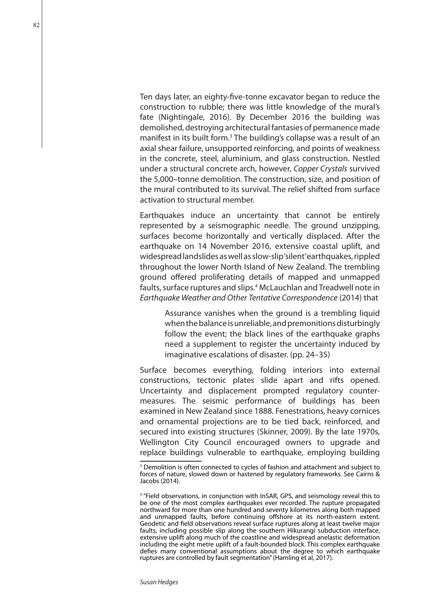Ten days later, an eighty-five-tonne excavator began to reduce the construction to rubble; there was little knowledge of the mural's fate (Nightingale, 2016). By December 2016 the building was demolished, destroying architectural fantasies of permanence made manifest in its built form.<sup>3</sup> The building's collapse was a result of an axial shear failure, unsupported reinforcing, and points of weakness in the concrete, steel, aluminium, and glass construction. Nestled under a structural concrete arch, however, *Copper Crystals* survived the 5,000–tonne demolition. The construction, size, and position of the mural contributed to its survival. The relief shifted from surface activation to structural member.

Earthquakes induce an uncertainty that cannot be entirely represented by a seismographic needle. The ground unzipping, surfaces become horizontally and vertically displaced. After the earthquake on 14 November 2016, extensive coastal uplift, and widespread landslides as well as slow-slip 'silent' earthquakes, rippled throughout the lower North Island of New Zealand. The trembling ground offered proliferating details of mapped and unmapped faults, surface ruptures and slips.4 McLauchlan and Treadwell note in *Earthquake Weather and Other Tentative Correspondence* (2014) that

Assurance vanishes when the ground is a trembling liquid when the balance is unreliable, and premonitions disturbingly follow the event; the black lines of the earthquake graphs need a supplement to register the uncertainty induced by imaginative escalations of disaster. (pp. 24–35)

Surface becomes everything, folding interiors into external constructions, tectonic plates slide apart and rifts opened. Uncertainty and displacement prompted regulatory countermeasures. The seismic performance of buildings has been examined in New Zealand since 1888. Fenestrations, heavy cornices and ornamental projections are to be tied back, reinforced, and secured into existing structures (Skinner, 2009). By the late 1970s, Wellington City Council encouraged owners to upgrade and replace buildings vulnerable to earthquake, employing building

<sup>&</sup>lt;sup>3</sup> Demolition is often connected to cycles of fashion and attachment and subject to forces of nature, slowed down or hastened by regulatory frameworks. See Cairns & Jacobs (2014).

<sup>4</sup> "Field observations, in conjunction with InSAR, GPS, and seismology reveal this to be one of the most complex earthquakes ever recorded. The rupture propagated northward for more than one hundred and seventy kilometres along both mapped and unmapped faults, before continuing offshore at its north-eastern extent. Geodetic and field observations reveal surface ruptures along at least twelve major faults, including possible slip along the southern Hikurangi subduction interface, extensive uplift along much of the coastline and widespread anelastic deformation including the eight metre uplift of a fault-bounded block. This complex earthquake defies many conventional assumptions about the degree to which earthquake ruptures are controlled by fault segmentation" (Hamling et al, 2017).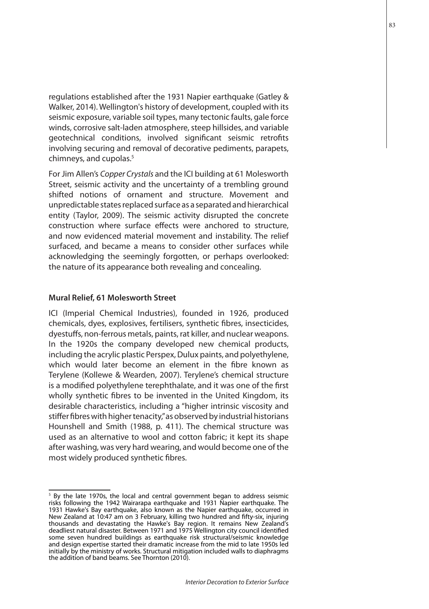regulations established after the 1931 Napier earthquake (Gatley & Walker, 2014). Wellington's history of development, coupled with its seismic exposure, variable soil types, many tectonic faults, gale force winds, corrosive salt-laden atmosphere, steep hillsides, and variable geotechnical conditions, involved significant seismic retrofits involving securing and removal of decorative pediments, parapets, chimneys, and cupolas.<sup>5</sup>

For Jim Allen's *Copper Crystals* and the ICI building at 61 Molesworth Street, seismic activity and the uncertainty of a trembling ground shifted notions of ornament and structure. Movement and unpredictable states replaced surface as a separated and hierarchical entity (Taylor, 2009). The seismic activity disrupted the concrete construction where surface effects were anchored to structure, and now evidenced material movement and instability. The relief surfaced, and became a means to consider other surfaces while acknowledging the seemingly forgotten, or perhaps overlooked: the nature of its appearance both revealing and concealing.

# **Mural Relief, 61 Molesworth Street**

ICI (Imperial Chemical Industries), founded in 1926, produced chemicals, dyes, explosives, fertilisers, synthetic fibres, insecticides, dyestuffs, non-ferrous metals, paints, rat killer, and nuclear weapons. In the 1920s the company developed new chemical products, including the acrylic plastic Perspex, Dulux paints, and polyethylene, which would later become an element in the fibre known as Terylene (Kollewe & Wearden, 2007). Terylene's chemical structure is a modified polyethylene terephthalate, and it was one of the first wholly synthetic fibres to be invented in the United Kingdom, its desirable characteristics, including a "higher intrinsic viscosity and stiffer fibres with higher tenacity," as observed by industrial historians Hounshell and Smith (1988, p. 411). The chemical structure was used as an alternative to wool and cotton fabric; it kept its shape after washing, was very hard wearing, and would become one of the most widely produced synthetic fibres.

<sup>&</sup>lt;sup>5</sup> By the late 1970s, the local and central government began to address seismic risks following the 1942 Wairarapa earthquake and 1931 Napier earthquake. The 1931 Hawke's Bay earthquake, also known as the Napier earthquake, occurred in New Zealand at 10:47 am on 3 February, killing two hundred and fifty-six, injuring thousands and devastating the Hawke's Bay region. It remains New Zealand's deadliest natural disaster. Between 1971 and 1975 Wellington city council identified some seven hundred buildings as earthquake risk structural/seismic knowledge and design expertise started their dramatic increase from the mid to late 1950s led initially by the ministry of works. Structural mitigation included walls to diaphragms the addition of band beams. See Thornton (2010).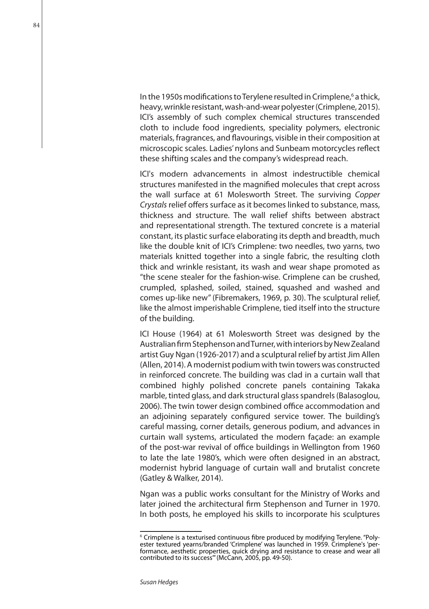In the 1950s modifications to Terylene resulted in Crimplene,<sup>6</sup> a thick, heavy, wrinkle resistant, wash-and-wear polyester (Crimplene, 2015). ICI's assembly of such complex chemical structures transcended cloth to include food ingredients, speciality polymers, electronic materials, fragrances, and flavourings, visible in their composition at microscopic scales. Ladies' nylons and Sunbeam motorcycles reflect these shifting scales and the company's widespread reach.

ICI's modern advancements in almost indestructible chemical structures manifested in the magnified molecules that crept across the wall surface at 61 Molesworth Street. The surviving *Copper Crystals* relief offers surface as it becomes linked to substance, mass, thickness and structure. The wall relief shifts between abstract and representational strength. The textured concrete is a material constant, its plastic surface elaborating its depth and breadth, much like the double knit of ICI's Crimplene: two needles, two yarns, two materials knitted together into a single fabric, the resulting cloth thick and wrinkle resistant, its wash and wear shape promoted as "the scene stealer for the fashion-wise. Crimplene can be crushed, crumpled, splashed, soiled, stained, squashed and washed and comes up-like new" (Fibremakers, 1969, p. 30). The sculptural relief, like the almost imperishable Crimplene, tied itself into the structure of the building.

ICI House (1964) at 61 Molesworth Street was designed by the Australian firm Stephenson and Turner, with interiors by New Zealand artist Guy Ngan (1926-2017) and a sculptural relief by artist Jim Allen (Allen, 2014). A modernist podium with twin towers was constructed in reinforced concrete. The building was clad in a curtain wall that combined highly polished concrete panels containing Takaka marble, tinted glass, and dark structural glass spandrels (Balasoglou, 2006). The twin tower design combined office accommodation and an adjoining separately configured service tower. The building's careful massing, corner details, generous podium, and advances in curtain wall systems, articulated the modern façade: an example of the post-war revival of office buildings in Wellington from 1960 to late the late 1980's, which were often designed in an abstract, modernist hybrid language of curtain wall and brutalist concrete (Gatley & Walker, 2014).

Ngan was a public works consultant for the Ministry of Works and later joined the architectural firm Stephenson and Turner in 1970. In both posts, he employed his skills to incorporate his sculptures

<sup>&</sup>lt;sup>6</sup> Crimplene is a texturised continuous fibre produced by modifying Terylene. "Polyester textured yearns/branded 'Crimplene' was launched in 1959. Crimplene's 'performance, aesthetic properties, quick drying and resistance to crease and wear all contributed to its success'" (McCann, 2005, pp. 49-50).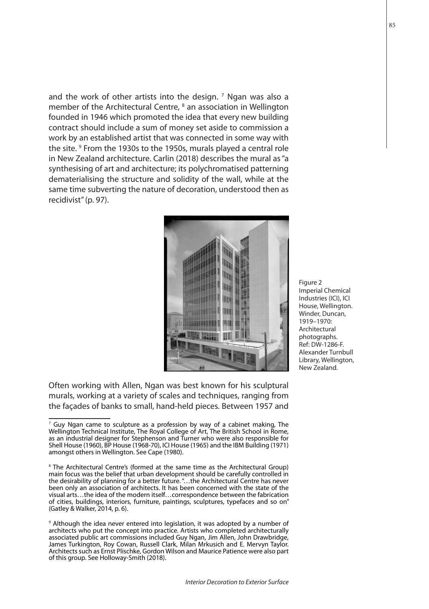and the work of other artists into the design.  $^7$  Ngan was also a member of the Architectural Centre, <sup>8</sup> an association in Wellington founded in 1946 which promoted the idea that every new building contract should include a sum of money set aside to commission a work by an established artist that was connected in some way with the site. <sup>9</sup> From the 1930s to the 1950s, murals played a central role in New Zealand architecture. Carlin (2018) describes the mural as "a synthesising of art and architecture; its polychromatised patterning dematerialising the structure and solidity of the wall, while at the same time subverting the nature of decoration, understood then as recidivist" (p. 97).



Often working with Allen, Ngan was best known for his sculptural murals, working at a variety of scales and techniques, ranging from the façades of banks to small, hand-held pieces. Between 1957 and Figure 2 Imperial Chemical Industries (ICI), ICI House, Wellington. Winder, Duncan, 1919–1970: Architectural photographs. Ref: DW-1286-F. Alexander Turnbull Library, Wellington, New Zealand.

 $<sup>7</sup>$  Guy Ngan came to sculpture as a profession by way of a cabinet making, The</sup> Wellington Technical Institute, The Royal College of Art, The British School in Rome, as an industrial designer for Stephenson and Turner who were also responsible for Shell House (1960), BP House (1968-70), ICI House (1965) and the IBM Building (1971) amongst others in Wellington. See Cape (1980).

<sup>&</sup>lt;sup>8</sup> The Architectural Centre's (formed at the same time as the Architectural Group) main focus was the belief that urban development should be carefully controlled in the desirability of planning for a better future. "…the Architectural Centre has never been only an association of architects. It has been concerned with the state of the visual arts…the idea of the modern itself…correspondence between the fabrication of cities, buildings, interiors, furniture, paintings, sculptures, typefaces and so on" (Gatley & Walker, 2014, p. 6).

<sup>&</sup>lt;sup>9</sup> Although the idea never entered into legislation, it was adopted by a number of architects who put the concept into practice. Artists who completed architecturally associated public art commissions included Guy Ngan, Jim Allen, John Drawbridge, James Turkington, Roy Cowan, Russell Clark, Milan Mrkusich and E. Mervyn Taylor. Architects such as Ernst Plischke, Gordon Wilson and Maurice Patience were also part of this group. See Holloway-Smith (2018).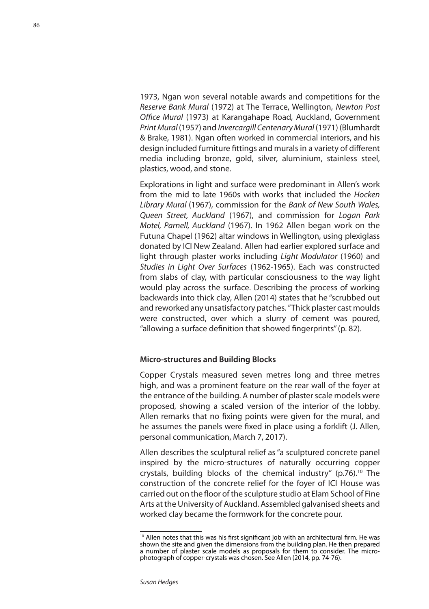1973, Ngan won several notable awards and competitions for the *Reserve Bank Mural* (1972) at The Terrace, Wellington, *Newton Post Office Mural* (1973) at Karangahape Road, Auckland, Government *Print Mural* (1957) and *Invercargill Centenary Mural* (1971) (Blumhardt & Brake, 1981). Ngan often worked in commercial interiors, and his design included furniture fittings and murals in a variety of different media including bronze, gold, silver, aluminium, stainless steel, plastics, wood, and stone.

Explorations in light and surface were predominant in Allen's work from the mid to late 1960s with works that included the *Hocken Library Mural* (1967), commission for the *Bank of New South Wales, Queen Street, Auckland* (1967), and commission for *Logan Park Motel, Parnell, Auckland* (1967). In 1962 Allen began work on the Futuna Chapel (1962) altar windows in Wellington, using plexiglass donated by ICI New Zealand. Allen had earlier explored surface and light through plaster works including *Light Modulator* (1960) and *Studies in Light Over Surfaces* (1962-1965). Each was constructed from slabs of clay, with particular consciousness to the way light would play across the surface. Describing the process of working backwards into thick clay, Allen (2014) states that he "scrubbed out and reworked any unsatisfactory patches. " Thick plaster cast moulds were constructed, over which a slurry of cement was poured, "allowing a surface definition that showed fingerprints" (p. 82).

## **Micro-structures and Building Blocks**

Copper Crystals measured seven metres long and three metres high, and was a prominent feature on the rear wall of the foyer at the entrance of the building. A number of plaster scale models were proposed, showing a scaled version of the interior of the lobby. Allen remarks that no fixing points were given for the mural, and he assumes the panels were fixed in place using a forklift (J. Allen, personal communication, March 7, 2017).

Allen describes the sculptural relief as "a sculptured concrete panel inspired by the micro-structures of naturally occurring copper crystals, building blocks of the chemical industry" (p.76).<sup>10</sup> The construction of the concrete relief for the foyer of ICI House was carried out on the floor of the sculpture studio at Elam School of Fine Arts at the University of Auckland. Assembled galvanised sheets and worked clay became the formwork for the concrete pour.

<sup>&</sup>lt;sup>10</sup> Allen notes that this was his first significant job with an architectural firm. He was shown the site and given the dimensions from the building plan. He then prepared a number of plaster scale models as proposals for them to consider. The microphotograph of copper-crystals was chosen. See Allen (2014, pp. 74-76).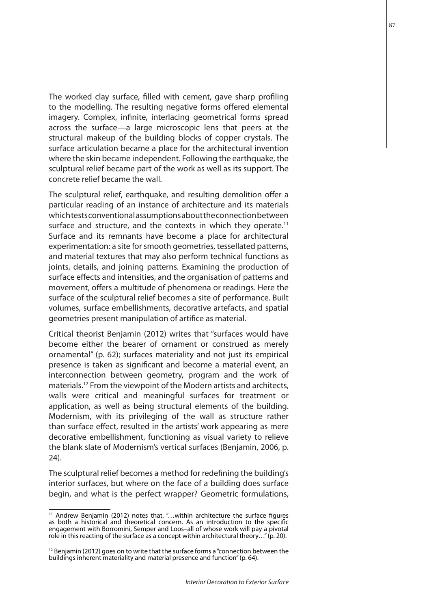The worked clay surface, filled with cement, gave sharp profiling to the modelling. The resulting negative forms offered elemental imagery. Complex, infinite, interlacing geometrical forms spread across the surface—a large microscopic lens that peers at the structural makeup of the building blocks of copper crystals. The surface articulation became a place for the architectural invention where the skin became independent. Following the earthquake, the sculptural relief became part of the work as well as its support. The concrete relief became the wall.

The sculptural relief, earthquake, and resulting demolition offer a particular reading of an instance of architecture and its materials which tests conventional assumptions about the connection between surface and structure, and the contexts in which they operate.<sup>11</sup> Surface and its remnants have become a place for architectural experimentation: a site for smooth geometries, tessellated patterns, and material textures that may also perform technical functions as joints, details, and joining patterns. Examining the production of surface effects and intensities, and the organisation of patterns and movement, offers a multitude of phenomena or readings. Here the surface of the sculptural relief becomes a site of performance. Built volumes, surface embellishments, decorative artefacts, and spatial geometries present manipulation of artifice as material.

Critical theorist Benjamin (2012) writes that "surfaces would have become either the bearer of ornament or construed as merely ornamental" (p. 62); surfaces materiality and not just its empirical presence is taken as significant and become a material event, an interconnection between geometry, program and the work of materials.12 From the viewpoint of the Modern artists and architects, walls were critical and meaningful surfaces for treatment or application, as well as being structural elements of the building. Modernism, with its privileging of the wall as structure rather than surface effect, resulted in the artists' work appearing as mere decorative embellishment, functioning as visual variety to relieve the blank slate of Modernism's vertical surfaces (Benjamin, 2006, p. 24).

The sculptural relief becomes a method for redefining the building's interior surfaces, but where on the face of a building does surface begin, and what is the perfect wrapper? Geometric formulations,

<sup>&</sup>lt;sup>11</sup> Andrew Benjamin (2012) notes that, "...within architecture the surface figures as both a historical and theoretical concern. As an introduction to the specific engagement with Borromini, Semper and Loos–all of whose work will pay a pivotal role in this reacting of the surface as a concept within architectural theory…" (p. 20).

 $12$  Benjamin (2012) goes on to write that the surface forms a "connection between the buildings inherent materiality and material presence and function" (p. 64).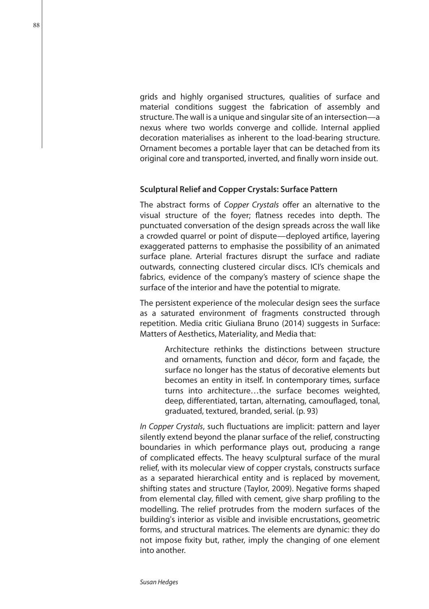grids and highly organised structures, qualities of surface and material conditions suggest the fabrication of assembly and structure. The wall is a unique and singular site of an intersection—a nexus where two worlds converge and collide. Internal applied decoration materialises as inherent to the load-bearing structure. Ornament becomes a portable layer that can be detached from its original core and transported, inverted, and finally worn inside out.

#### **Sculptural Relief and Copper Crystals: Surface Pattern**

The abstract forms of *Copper Crystals* offer an alternative to the visual structure of the foyer; flatness recedes into depth. The punctuated conversation of the design spreads across the wall like a crowded quarrel or point of dispute—deployed artifice, layering exaggerated patterns to emphasise the possibility of an animated surface plane. Arterial fractures disrupt the surface and radiate outwards, connecting clustered circular discs. ICI's chemicals and fabrics, evidence of the company's mastery of science shape the surface of the interior and have the potential to migrate.

The persistent experience of the molecular design sees the surface as a saturated environment of fragments constructed through repetition. Media critic Giuliana Bruno (2014) suggests in Surface: Matters of Aesthetics, Materiality, and Media that:

> Architecture rethinks the distinctions between structure and ornaments, function and décor, form and façade, the surface no longer has the status of decorative elements but becomes an entity in itself. In contemporary times, surface turns into architecture…the surface becomes weighted, deep, differentiated, tartan, alternating, camouflaged, tonal, graduated, textured, branded, serial. (p. 93)

*In Copper Crystals*, such fluctuations are implicit: pattern and layer silently extend beyond the planar surface of the relief, constructing boundaries in which performance plays out, producing a range of complicated effects. The heavy sculptural surface of the mural relief, with its molecular view of copper crystals, constructs surface as a separated hierarchical entity and is replaced by movement, shifting states and structure (Taylor, 2009). Negative forms shaped from elemental clay, filled with cement, give sharp profiling to the modelling. The relief protrudes from the modern surfaces of the building's interior as visible and invisible encrustations, geometric forms, and structural matrices. The elements are dynamic: they do not impose fixity but, rather, imply the changing of one element into another.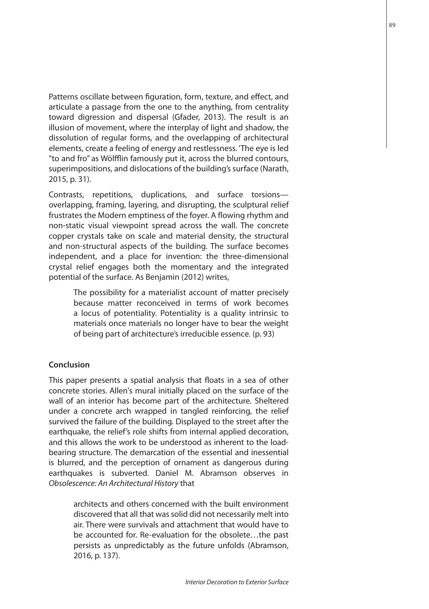Patterns oscillate between figuration, form, texture, and effect, and articulate a passage from the one to the anything, from centrality toward digression and dispersal (Gfader, 2013). The result is an illusion of movement, where the interplay of light and shadow, the dissolution of regular forms, and the overlapping of architectural elements, create a feeling of energy and restlessness. 'The eye is led "to and fro" as Wölfflin famously put it, across the blurred contours, superimpositions, and dislocations of the building's surface (Narath, 2015, p. 31).

Contrasts, repetitions, duplications, and surface torsions overlapping, framing, layering, and disrupting, the sculptural relief frustrates the Modern emptiness of the foyer. A flowing rhythm and non-static visual viewpoint spread across the wall. The concrete copper crystals take on scale and material density, the structural and non-structural aspects of the building. The surface becomes independent, and a place for invention: the three-dimensional crystal relief engages both the momentary and the integrated potential of the surface. As Benjamin (2012) writes,

> The possibility for a materialist account of matter precisely because matter reconceived in terms of work becomes a locus of potentiality. Potentiality is a quality intrinsic to materials once materials no longer have to bear the weight of being part of architecture's irreducible essence. (p. 93)

# **Conclusion**

This paper presents a spatial analysis that floats in a sea of other concrete stories. Allen's mural initially placed on the surface of the wall of an interior has become part of the architecture. Sheltered under a concrete arch wrapped in tangled reinforcing, the relief survived the failure of the building. Displayed to the street after the earthquake, the relief's role shifts from internal applied decoration, and this allows the work to be understood as inherent to the loadbearing structure. The demarcation of the essential and inessential is blurred, and the perception of ornament as dangerous during earthquakes is subverted. Daniel M. Abramson observes in *Obsolescence: An Architectural History* that

> architects and others concerned with the built environment discovered that all that was solid did not necessarily melt into air. There were survivals and attachment that would have to be accounted for. Re-evaluation for the obsolete…the past persists as unpredictably as the future unfolds (Abramson, 2016, p. 137).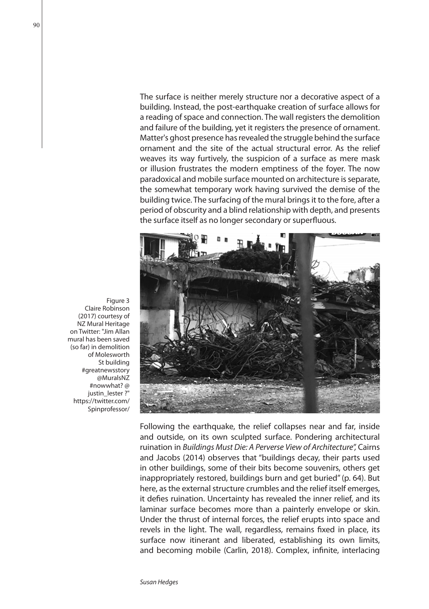The surface is neither merely structure nor a decorative aspect of a building. Instead, the post-earthquake creation of surface allows for a reading of space and connection. The wall registers the demolition and failure of the building, yet it registers the presence of ornament. Matter's ghost presence has revealed the struggle behind the surface ornament and the site of the actual structural error. As the relief weaves its way furtively, the suspicion of a surface as mere mask or illusion frustrates the modern emptiness of the foyer. The now paradoxical and mobile surface mounted on architecture is separate, the somewhat temporary work having survived the demise of the building twice. The surfacing of the mural brings it to the fore, after a period of obscurity and a blind relationship with depth, and presents the surface itself as no longer secondary or superfluous.



Following the earthquake, the relief collapses near and far, inside and outside, on its own sculpted surface. Pondering architectural ruination in *Buildings Must Die: A Perverse View of Architecture",* Cairns and Jacobs (2014) observes that "buildings decay, their parts used in other buildings, some of their bits become souvenirs, others get inappropriately restored, buildings burn and get buried" (p. 64). But here, as the external structure crumbles and the relief itself emerges, it defies ruination. Uncertainty has revealed the inner relief, and its laminar surface becomes more than a painterly envelope or skin. Under the thrust of internal forces, the relief erupts into space and revels in the light. The wall, regardless, remains fixed in place, its surface now itinerant and liberated, establishing its own limits, and becoming mobile (Carlin, 2018). Complex, infinite, interlacing

Figure 3 Claire Robinson (2017) courtesy of NZ Mural Heritage on Twitter: "Jim Allan mural has been saved (so far) in demolition of Molesworth St building #greatnewsstory @MuralsNZ #nowwhat? @ justin\_lester ?" https://twitter.com/ Spinprofessor/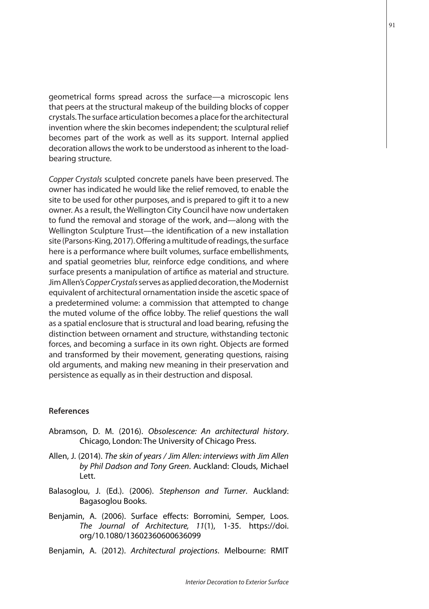geometrical forms spread across the surface—a microscopic lens that peers at the structural makeup of the building blocks of copper crystals. The surface articulation becomes a place for the architectural invention where the skin becomes independent; the sculptural relief becomes part of the work as well as its support. Internal applied decoration allows the work to be understood as inherent to the loadbearing structure.

*Copper Crystals* sculpted concrete panels have been preserved. The owner has indicated he would like the relief removed, to enable the site to be used for other purposes, and is prepared to gift it to a new owner. As a result, the Wellington City Council have now undertaken to fund the removal and storage of the work, and—along with the Wellington Sculpture Trust—the identification of a new installation site (Parsons-King, 2017). Offering a multitude of readings, the surface here is a performance where built volumes, surface embellishments, and spatial geometries blur, reinforce edge conditions, and where surface presents a manipulation of artifice as material and structure. Jim Allen's *Copper Crystals* serves as applied decoration, the Modernist equivalent of architectural ornamentation inside the ascetic space of a predetermined volume: a commission that attempted to change the muted volume of the office lobby. The relief questions the wall as a spatial enclosure that is structural and load bearing, refusing the distinction between ornament and structure, withstanding tectonic forces, and becoming a surface in its own right. Objects are formed and transformed by their movement, generating questions, raising old arguments, and making new meaning in their preservation and persistence as equally as in their destruction and disposal.

#### **References**

- Abramson, D. M. (2016). *Obsolescence: An architectural history*. Chicago, London: The University of Chicago Press.
- Allen, J. (2014). *The skin of years / Jim Allen: interviews with Jim Allen by Phil Dadson and Tony Green*. Auckland: Clouds, Michael Lett.
- Balasoglou, J. (Ed.). (2006). *Stephenson and Turner*. Auckland: Bagasoglou Books.
- Benjamin, A. (2006). Surface effects: Borromini, Semper, Loos. *The Journal of Architecture, 11*(1), 1-35. https://doi. org/10.1080/13602360600636099
- Benjamin, A. (2012). *Architectural projections*. Melbourne: RMIT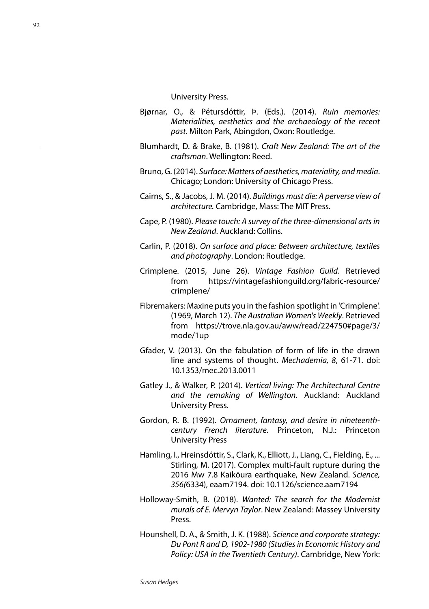- Bjørnar, O., & Pétursdóttir, Þ. (Eds.). (2014). *Ruin memories: Materialities, aesthetics and the archaeology of the recent past*. Milton Park, Abingdon, Oxon: Routledge.
- Blumhardt, D. & Brake, B. (1981). *Craft New Zealand: The art of the craftsman*. Wellington: Reed.
- Bruno, G. (2014). *Surface: Matters of aesthetics, materiality, and media*. Chicago; London: University of Chicago Press.
- Cairns, S., & Jacobs, J. M. (2014). *Buildings must die: A perverse view of architecture.* Cambridge, Mass: The MIT Press.
- Cape, P. (1980). *Please touch: A survey of the three-dimensional arts in New Zealand*. Auckland: Collins.
- Carlin, P. (2018). *On surface and place: Between architecture, textiles and photography*. London: Routledge.
- Crimplene. (2015, June 26). *Vintage Fashion Guild*. Retrieved from https://vintagefashionguild.org/fabric-resource/ crimplene/
- Fibremakers: Maxine puts you in the fashion spotlight in 'Crimplene'. (1969, March 12). *The Australian Women's Weekly*. Retrieved from https://trove.nla.gov.au/aww/read/224750#page/3/ mode/1up
- Gfader, V. (2013). On the fabulation of form of life in the drawn line and systems of thought. *Mechademia, 8*, 61-71. doi: 10.1353/mec.2013.0011
- Gatley J., & Walker, P. (2014). *Vertical living: The Architectural Centre and the remaking of Wellington*. Auckland: Auckland University Press.
- Gordon, R. B. (1992). *Ornament, fantasy, and desire in nineteenthcentury French literature*. Princeton, N.J.: Princeton University Press
- Hamling, I., Hreinsdóttir, S., Clark, K., Elliott, J., Liang, C., Fielding, E., ... Stirling, M. (2017). Complex multi-fault rupture during the 2016 Mw 7.8 Kaikōura earthquake, New Zealand. *Science, 356(*6334), eaam7194. doi: 10.1126/science.aam7194
- Holloway-Smith, B. (2018). *Wanted: The search for the Modernist murals of E. Mervyn Taylor*. New Zealand: Massey University Press.
- Hounshell, D. A., & Smith, J. K. (1988). *Science and corporate strategy: Du Pont R and D, 1902-1980 (Studies in Economic History and Policy: USA in the Twentieth Century)*. Cambridge, New York: